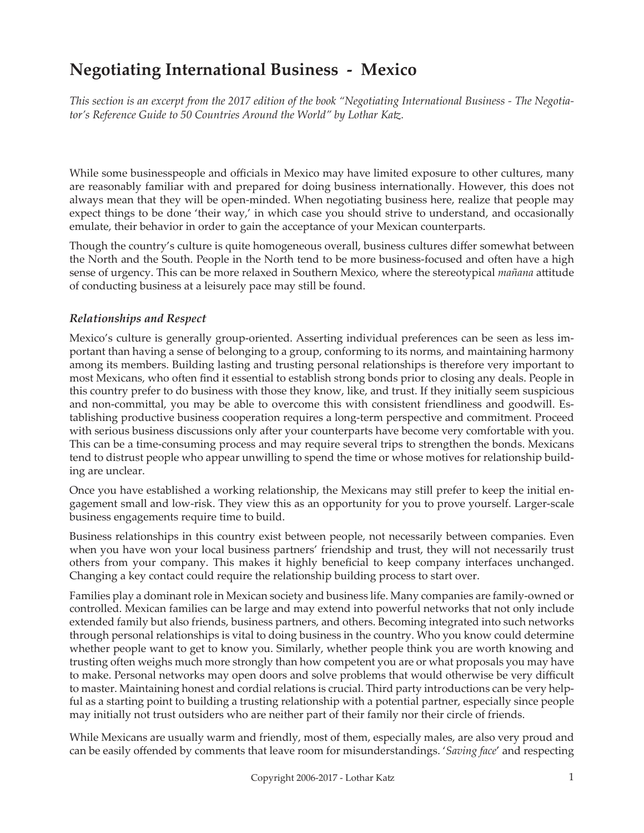# **Negotiating International Business - Mexico**

*This section is an excerpt from the 2017 edition of the book "Negotiating International Business - The Negotiator's Reference Guide to 50 Countries Around the World" by Lothar Katz.*

While some businesspeople and officials in Mexico may have limited exposure to other cultures, many are reasonably familiar with and prepared for doing business internationally. However, this does not always mean that they will be open-minded. When negotiating business here, realize that people may expect things to be done 'their way,' in which case you should strive to understand, and occasionally emulate, their behavior in order to gain the acceptance of your Mexican counterparts.

Though the country's culture is quite homogeneous overall, business cultures differ somewhat between the North and the South. People in the North tend to be more business-focused and often have a high sense of urgency. This can be more relaxed in Southern Mexico, where the stereotypical *mañana* attitude of conducting business at a leisurely pace may still be found.

#### *Relationships and Respect*

Mexico's culture is generally group-oriented. Asserting individual preferences can be seen as less important than having a sense of belonging to a group, conforming to its norms, and maintaining harmony among its members. Building lasting and trusting personal relationships is therefore very important to most Mexicans, who often find it essential to establish strong bonds prior to closing any deals. People in this country prefer to do business with those they know, like, and trust. If they initially seem suspicious and non-committal, you may be able to overcome this with consistent friendliness and goodwill. Establishing productive business cooperation requires a long-term perspective and commitment. Proceed with serious business discussions only after your counterparts have become very comfortable with you. This can be a time-consuming process and may require several trips to strengthen the bonds. Mexicans tend to distrust people who appear unwilling to spend the time or whose motives for relationship building are unclear.

Once you have established a working relationship, the Mexicans may still prefer to keep the initial engagement small and low-risk. They view this as an opportunity for you to prove yourself. Larger-scale business engagements require time to build.

Business relationships in this country exist between people, not necessarily between companies. Even when you have won your local business partners' friendship and trust, they will not necessarily trust others from your company. This makes it highly beneficial to keep company interfaces unchanged. Changing a key contact could require the relationship building process to start over.

Families play a dominant role in Mexican society and business life. Many companies are family-owned or controlled. Mexican families can be large and may extend into powerful networks that not only include extended family but also friends, business partners, and others. Becoming integrated into such networks through personal relationships is vital to doing business in the country. Who you know could determine whether people want to get to know you. Similarly, whether people think you are worth knowing and trusting often weighs much more strongly than how competent you are or what proposals you may have to make. Personal networks may open doors and solve problems that would otherwise be very difficult to master. Maintaining honest and cordial relations is crucial. Third party introductions can be very helpful as a starting point to building a trusting relationship with a potential partner, especially since people may initially not trust outsiders who are neither part of their family nor their circle of friends.

While Mexicans are usually warm and friendly, most of them, especially males, are also very proud and can be easily offended by comments that leave room for misunderstandings. '*Saving face*' and respecting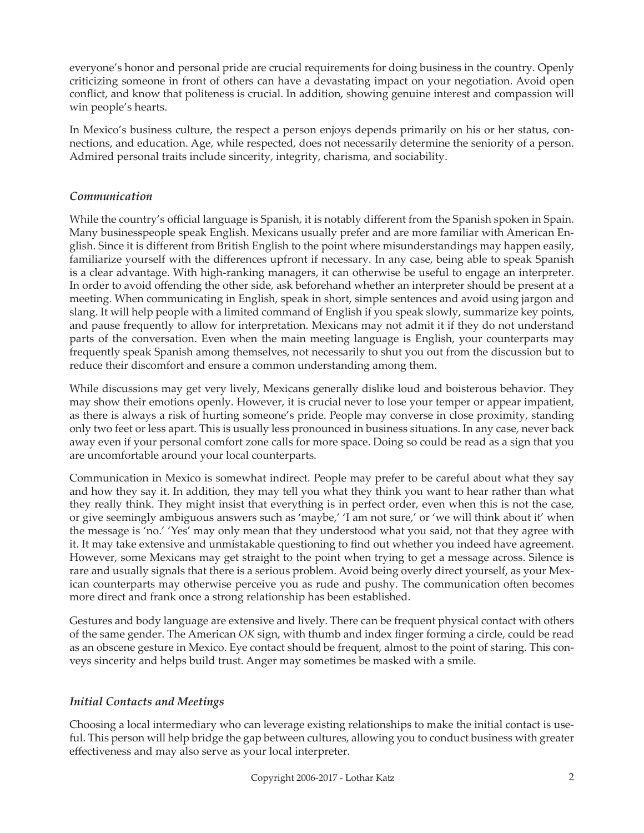everyone's honor and personal pride are crucial requirements for doing business in the country. Openly criticizing someone in front of others can have a devastating impact on your negotiation. Avoid open conflict, and know that politeness is crucial. In addition, showing genuine interest and compassion will win people's hearts.

In Mexico's business culture, the respect a person enjoys depends primarily on his or her status, connections, and education. Age, while respected, does not necessarily determine the seniority of a person. Admired personal traits include sincerity, integrity, charisma, and sociability.

## *Communication*

While the country's official language is Spanish, it is notably different from the Spanish spoken in Spain. Many businesspeople speak English. Mexicans usually prefer and are more familiar with American English. Since it is different from British English to the point where misunderstandings may happen easily, familiarize yourself with the differences upfront if necessary. In any case, being able to speak Spanish is a clear advantage. With high-ranking managers, it can otherwise be useful to engage an interpreter. In order to avoid offending the other side, ask beforehand whether an interpreter should be present at a meeting. When communicating in English, speak in short, simple sentences and avoid using jargon and slang. It will help people with a limited command of English if you speak slowly, summarize key points, and pause frequently to allow for interpretation. Mexicans may not admit it if they do not understand parts of the conversation. Even when the main meeting language is English, your counterparts may frequently speak Spanish among themselves, not necessarily to shut you out from the discussion but to reduce their discomfort and ensure a common understanding among them.

While discussions may get very lively, Mexicans generally dislike loud and boisterous behavior. They may show their emotions openly. However, it is crucial never to lose your temper or appear impatient, as there is always a risk of hurting someone's pride. People may converse in close proximity, standing only two feet or less apart. This is usually less pronounced in business situations. In any case, never back away even if your personal comfort zone calls for more space. Doing so could be read as a sign that you are uncomfortable around your local counterparts.

Communication in Mexico is somewhat indirect. People may prefer to be careful about what they say and how they say it. In addition, they may tell you what they think you want to hear rather than what they really think. They might insist that everything is in perfect order, even when this is not the case, or give seemingly ambiguous answers such as 'maybe,' 'I am not sure,' or 'we will think about it' when the message is 'no.' 'Yes' may only mean that they understood what you said, not that they agree with it. It may take extensive and unmistakable questioning to find out whether you indeed have agreement. However, some Mexicans may get straight to the point when trying to get a message across. Silence is rare and usually signals that there is a serious problem. Avoid being overly direct yourself, as your Mexican counterparts may otherwise perceive you as rude and pushy. The communication often becomes more direct and frank once a strong relationship has been established.

Gestures and body language are extensive and lively. There can be frequent physical contact with others of the same gender. The American *OK* sign, with thumb and index finger forming a circle, could be read as an obscene gesture in Mexico. Eye contact should be frequent, almost to the point of staring. This conveys sincerity and helps build trust. Anger may sometimes be masked with a smile.

## *Initial Contacts and Meetings*

Choosing a local intermediary who can leverage existing relationships to make the initial contact is useful. This person will help bridge the gap between cultures, allowing you to conduct business with greater effectiveness and may also serve as your local interpreter.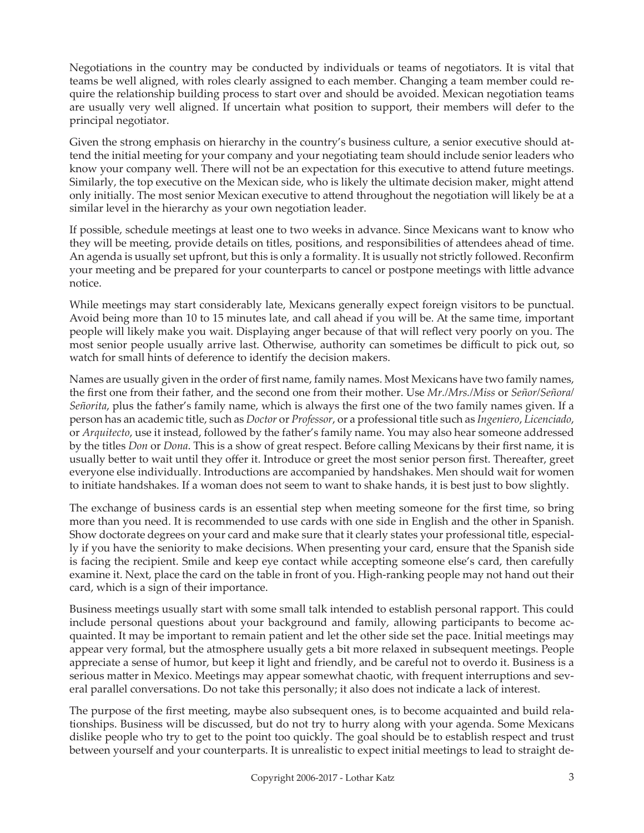Negotiations in the country may be conducted by individuals or teams of negotiators. It is vital that teams be well aligned, with roles clearly assigned to each member. Changing a team member could require the relationship building process to start over and should be avoided. Mexican negotiation teams are usually very well aligned. If uncertain what position to support, their members will defer to the principal negotiator.

Given the strong emphasis on hierarchy in the country's business culture, a senior executive should attend the initial meeting for your company and your negotiating team should include senior leaders who know your company well. There will not be an expectation for this executive to attend future meetings. Similarly, the top executive on the Mexican side, who is likely the ultimate decision maker, might attend only initially. The most senior Mexican executive to attend throughout the negotiation will likely be at a similar level in the hierarchy as your own negotiation leader.

If possible, schedule meetings at least one to two weeks in advance. Since Mexicans want to know who they will be meeting, provide details on titles, positions, and responsibilities of attendees ahead of time. An agenda is usually set upfront, but this is only a formality. It is usually not strictly followed. Reconfirm your meeting and be prepared for your counterparts to cancel or postpone meetings with little advance notice.

While meetings may start considerably late, Mexicans generally expect foreign visitors to be punctual. Avoid being more than 10 to 15 minutes late, and call ahead if you will be. At the same time, important people will likely make you wait. Displaying anger because of that will reflect very poorly on you. The most senior people usually arrive last. Otherwise, authority can sometimes be difficult to pick out, so watch for small hints of deference to identify the decision makers.

Names are usually given in the order of first name, family names. Most Mexicans have two family names, the first one from their father, and the second one from their mother. Use *Mr./Mrs./Miss* or *Señor/Señora/ Señorita*, plus the father's family name, which is always the first one of the two family names given. If a person has an academic title, such as *Doctor* or *Professor*, or a professional title such as *Ingeniero*, *Licenciado*, or *Arquitecto*, use it instead, followed by the father's family name. You may also hear someone addressed by the titles *Don* or *Dona*. This is a show of great respect. Before calling Mexicans by their first name, it is usually better to wait until they offer it. Introduce or greet the most senior person first. Thereafter, greet everyone else individually. Introductions are accompanied by handshakes. Men should wait for women to initiate handshakes. If a woman does not seem to want to shake hands, it is best just to bow slightly.

The exchange of business cards is an essential step when meeting someone for the first time, so bring more than you need. It is recommended to use cards with one side in English and the other in Spanish. Show doctorate degrees on your card and make sure that it clearly states your professional title, especially if you have the seniority to make decisions. When presenting your card, ensure that the Spanish side is facing the recipient. Smile and keep eye contact while accepting someone else's card, then carefully examine it. Next, place the card on the table in front of you. High-ranking people may not hand out their card, which is a sign of their importance.

Business meetings usually start with some small talk intended to establish personal rapport. This could include personal questions about your background and family, allowing participants to become acquainted. It may be important to remain patient and let the other side set the pace. Initial meetings may appear very formal, but the atmosphere usually gets a bit more relaxed in subsequent meetings. People appreciate a sense of humor, but keep it light and friendly, and be careful not to overdo it. Business is a serious matter in Mexico. Meetings may appear somewhat chaotic, with frequent interruptions and several parallel conversations. Do not take this personally; it also does not indicate a lack of interest.

The purpose of the first meeting, maybe also subsequent ones, is to become acquainted and build relationships. Business will be discussed, but do not try to hurry along with your agenda. Some Mexicans dislike people who try to get to the point too quickly. The goal should be to establish respect and trust between yourself and your counterparts. It is unrealistic to expect initial meetings to lead to straight de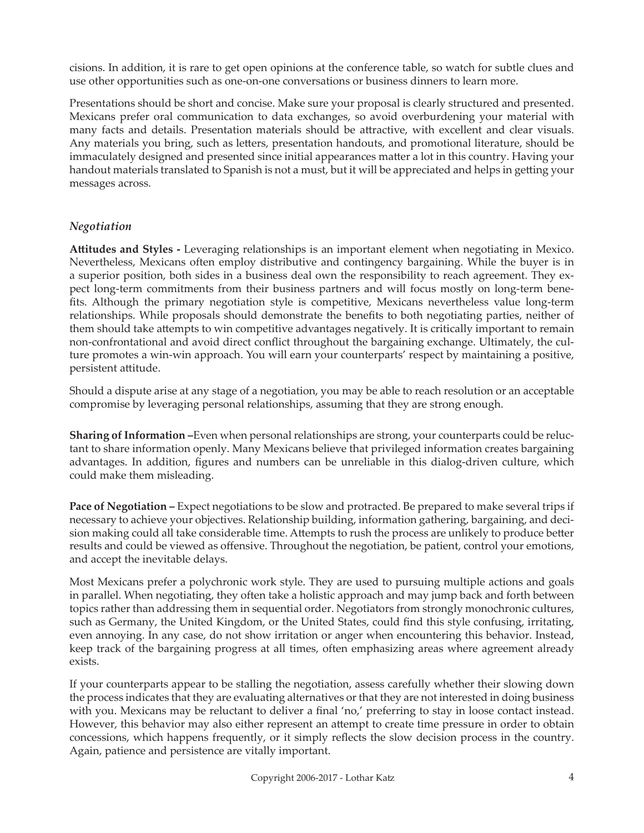cisions. In addition, it is rare to get open opinions at the conference table, so watch for subtle clues and use other opportunities such as one-on-one conversations or business dinners to learn more.

Presentations should be short and concise. Make sure your proposal is clearly structured and presented. Mexicans prefer oral communication to data exchanges, so avoid overburdening your material with many facts and details. Presentation materials should be attractive, with excellent and clear visuals. Any materials you bring, such as letters, presentation handouts, and promotional literature, should be immaculately designed and presented since initial appearances matter a lot in this country. Having your handout materials translated to Spanish is not a must, but it will be appreciated and helps in getting your messages across.

# *Negotiation*

**Attitudes and Styles -** Leveraging relationships is an important element when negotiating in Mexico. Nevertheless, Mexicans often employ distributive and contingency bargaining. While the buyer is in a superior position, both sides in a business deal own the responsibility to reach agreement. They expect long-term commitments from their business partners and will focus mostly on long-term benefits. Although the primary negotiation style is competitive, Mexicans nevertheless value long-term relationships. While proposals should demonstrate the benefits to both negotiating parties, neither of them should take attempts to win competitive advantages negatively. It is critically important to remain non-confrontational and avoid direct conflict throughout the bargaining exchange. Ultimately, the culture promotes a win-win approach. You will earn your counterparts' respect by maintaining a positive, persistent attitude.

Should a dispute arise at any stage of a negotiation, you may be able to reach resolution or an acceptable compromise by leveraging personal relationships, assuming that they are strong enough.

**Sharing of Information –**Even when personal relationships are strong, your counterparts could be reluctant to share information openly. Many Mexicans believe that privileged information creates bargaining advantages. In addition, figures and numbers can be unreliable in this dialog-driven culture, which could make them misleading.

**Pace of Negotiation –** Expect negotiations to be slow and protracted. Be prepared to make several trips if necessary to achieve your objectives. Relationship building, information gathering, bargaining, and decision making could all take considerable time. Attempts to rush the process are unlikely to produce better results and could be viewed as offensive. Throughout the negotiation, be patient, control your emotions, and accept the inevitable delays.

Most Mexicans prefer a polychronic work style. They are used to pursuing multiple actions and goals in parallel. When negotiating, they often take a holistic approach and may jump back and forth between topics rather than addressing them in sequential order. Negotiators from strongly monochronic cultures, such as Germany, the United Kingdom, or the United States, could find this style confusing, irritating, even annoying. In any case, do not show irritation or anger when encountering this behavior. Instead, keep track of the bargaining progress at all times, often emphasizing areas where agreement already exists.

If your counterparts appear to be stalling the negotiation, assess carefully whether their slowing down the process indicates that they are evaluating alternatives or that they are not interested in doing business with you. Mexicans may be reluctant to deliver a final 'no,' preferring to stay in loose contact instead. However, this behavior may also either represent an attempt to create time pressure in order to obtain concessions, which happens frequently, or it simply reflects the slow decision process in the country. Again, patience and persistence are vitally important.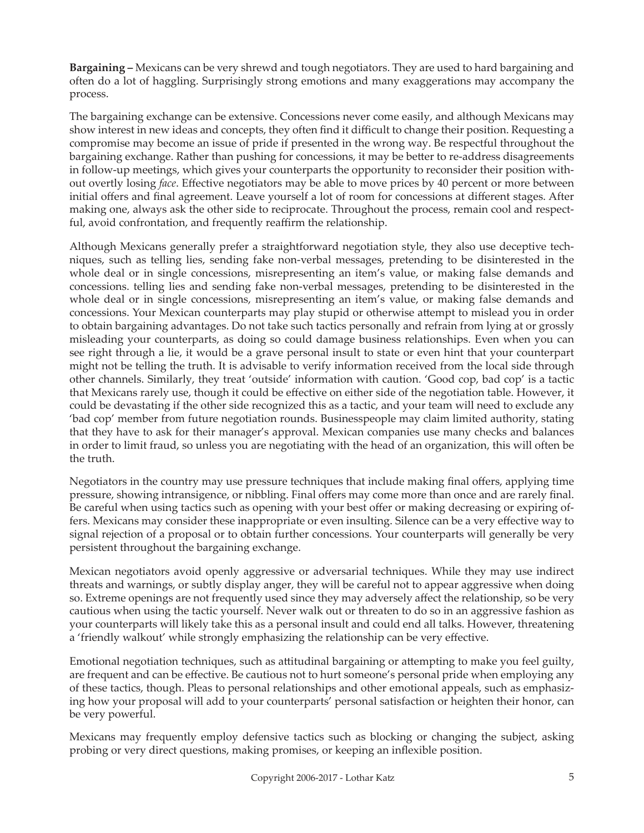**Bargaining –** Mexicans can be very shrewd and tough negotiators. They are used to hard bargaining and often do a lot of haggling. Surprisingly strong emotions and many exaggerations may accompany the process.

The bargaining exchange can be extensive. Concessions never come easily, and although Mexicans may show interest in new ideas and concepts, they often find it difficult to change their position. Requesting a compromise may become an issue of pride if presented in the wrong way. Be respectful throughout the bargaining exchange. Rather than pushing for concessions, it may be better to re-address disagreements in follow-up meetings, which gives your counterparts the opportunity to reconsider their position without overtly losing *face*. Effective negotiators may be able to move prices by 40 percent or more between initial offers and final agreement. Leave yourself a lot of room for concessions at different stages. After making one, always ask the other side to reciprocate. Throughout the process, remain cool and respectful, avoid confrontation, and frequently reaffirm the relationship.

Although Mexicans generally prefer a straightforward negotiation style, they also use deceptive techniques, such as telling lies, sending fake non-verbal messages, pretending to be disinterested in the whole deal or in single concessions, misrepresenting an item's value, or making false demands and concessions. telling lies and sending fake non-verbal messages, pretending to be disinterested in the whole deal or in single concessions, misrepresenting an item's value, or making false demands and concessions. Your Mexican counterparts may play stupid or otherwise attempt to mislead you in order to obtain bargaining advantages. Do not take such tactics personally and refrain from lying at or grossly misleading your counterparts, as doing so could damage business relationships. Even when you can see right through a lie, it would be a grave personal insult to state or even hint that your counterpart might not be telling the truth. It is advisable to verify information received from the local side through other channels. Similarly, they treat 'outside' information with caution. 'Good cop, bad cop' is a tactic that Mexicans rarely use, though it could be effective on either side of the negotiation table. However, it could be devastating if the other side recognized this as a tactic, and your team will need to exclude any 'bad cop' member from future negotiation rounds. Businesspeople may claim limited authority, stating that they have to ask for their manager's approval. Mexican companies use many checks and balances in order to limit fraud, so unless you are negotiating with the head of an organization, this will often be the truth.

Negotiators in the country may use pressure techniques that include making final offers, applying time pressure, showing intransigence, or nibbling. Final offers may come more than once and are rarely final. Be careful when using tactics such as opening with your best offer or making decreasing or expiring offers. Mexicans may consider these inappropriate or even insulting. Silence can be a very effective way to signal rejection of a proposal or to obtain further concessions. Your counterparts will generally be very persistent throughout the bargaining exchange.

Mexican negotiators avoid openly aggressive or adversarial techniques. While they may use indirect threats and warnings, or subtly display anger, they will be careful not to appear aggressive when doing so. Extreme openings are not frequently used since they may adversely affect the relationship, so be very cautious when using the tactic yourself. Never walk out or threaten to do so in an aggressive fashion as your counterparts will likely take this as a personal insult and could end all talks. However, threatening a 'friendly walkout' while strongly emphasizing the relationship can be very effective.

Emotional negotiation techniques, such as attitudinal bargaining or attempting to make you feel guilty, are frequent and can be effective. Be cautious not to hurt someone's personal pride when employing any of these tactics, though. Pleas to personal relationships and other emotional appeals, such as emphasizing how your proposal will add to your counterparts' personal satisfaction or heighten their honor, can be very powerful.

Mexicans may frequently employ defensive tactics such as blocking or changing the subject, asking probing or very direct questions, making promises, or keeping an inflexible position.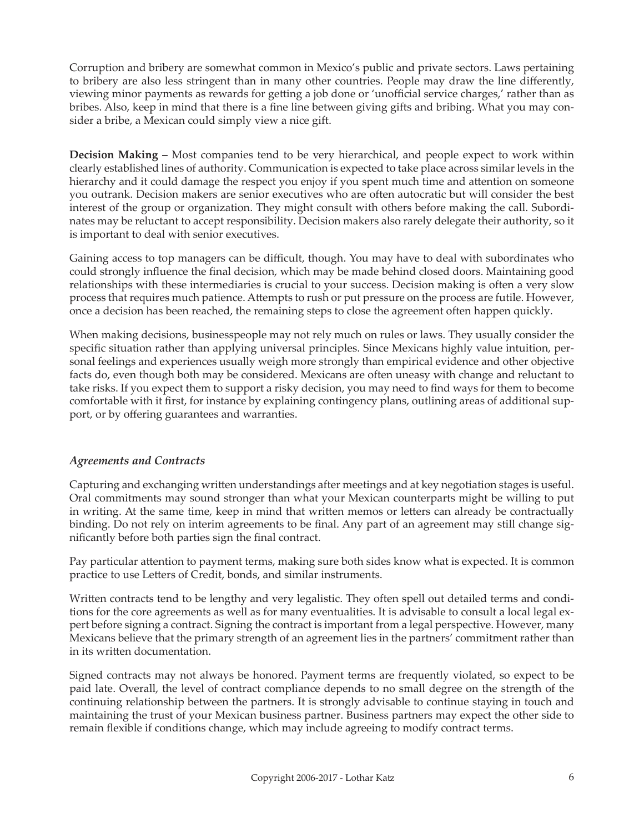Corruption and bribery are somewhat common in Mexico's public and private sectors. Laws pertaining to bribery are also less stringent than in many other countries. People may draw the line differently, viewing minor payments as rewards for getting a job done or 'unofficial service charges,' rather than as bribes. Also, keep in mind that there is a fine line between giving gifts and bribing. What you may consider a bribe, a Mexican could simply view a nice gift.

**Decision Making –** Most companies tend to be very hierarchical, and people expect to work within clearly established lines of authority. Communication is expected to take place across similar levels in the hierarchy and it could damage the respect you enjoy if you spent much time and attention on someone you outrank. Decision makers are senior executives who are often autocratic but will consider the best interest of the group or organization. They might consult with others before making the call. Subordinates may be reluctant to accept responsibility. Decision makers also rarely delegate their authority, so it is important to deal with senior executives.

Gaining access to top managers can be difficult, though. You may have to deal with subordinates who could strongly influence the final decision, which may be made behind closed doors. Maintaining good relationships with these intermediaries is crucial to your success. Decision making is often a very slow process that requires much patience. Attempts to rush or put pressure on the process are futile. However, once a decision has been reached, the remaining steps to close the agreement often happen quickly.

When making decisions, businesspeople may not rely much on rules or laws. They usually consider the specific situation rather than applying universal principles. Since Mexicans highly value intuition, personal feelings and experiences usually weigh more strongly than empirical evidence and other objective facts do, even though both may be considered. Mexicans are often uneasy with change and reluctant to take risks. If you expect them to support a risky decision, you may need to find ways for them to become comfortable with it first, for instance by explaining contingency plans, outlining areas of additional support, or by offering guarantees and warranties.

## *Agreements and Contracts*

Capturing and exchanging written understandings after meetings and at key negotiation stages is useful. Oral commitments may sound stronger than what your Mexican counterparts might be willing to put in writing. At the same time, keep in mind that written memos or letters can already be contractually binding. Do not rely on interim agreements to be final. Any part of an agreement may still change significantly before both parties sign the final contract.

Pay particular attention to payment terms, making sure both sides know what is expected. It is common practice to use Letters of Credit, bonds, and similar instruments.

Written contracts tend to be lengthy and very legalistic. They often spell out detailed terms and conditions for the core agreements as well as for many eventualities. It is advisable to consult a local legal expert before signing a contract. Signing the contract is important from a legal perspective. However, many Mexicans believe that the primary strength of an agreement lies in the partners' commitment rather than in its written documentation.

Signed contracts may not always be honored. Payment terms are frequently violated, so expect to be paid late. Overall, the level of contract compliance depends to no small degree on the strength of the continuing relationship between the partners. It is strongly advisable to continue staying in touch and maintaining the trust of your Mexican business partner. Business partners may expect the other side to remain flexible if conditions change, which may include agreeing to modify contract terms.